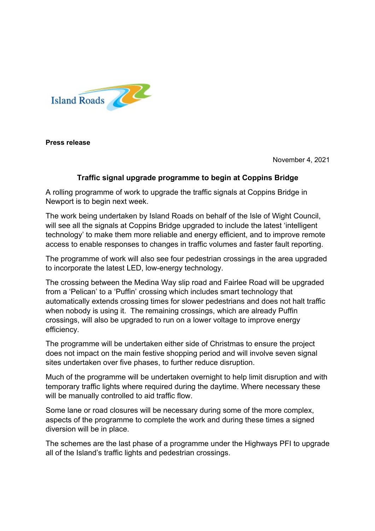

**Press release** 

November 4, 2021

## **Traffic signal upgrade programme to begin at Coppins Bridge**

A rolling programme of work to upgrade the traffic signals at Coppins Bridge in Newport is to begin next week.

The work being undertaken by Island Roads on behalf of the Isle of Wight Council, will see all the signals at Coppins Bridge upgraded to include the latest 'intelligent technology' to make them more reliable and energy efficient, and to improve remote access to enable responses to changes in traffic volumes and faster fault reporting.

The programme of work will also see four pedestrian crossings in the area upgraded to incorporate the latest LED, low-energy technology.

The crossing between the Medina Way slip road and Fairlee Road will be upgraded from a 'Pelican' to a 'Puffin' crossing which includes smart technology that automatically extends crossing times for slower pedestrians and does not halt traffic when nobody is using it. The remaining crossings, which are already Puffin crossings, will also be upgraded to run on a lower voltage to improve energy efficiency.

The programme will be undertaken either side of Christmas to ensure the project does not impact on the main festive shopping period and will involve seven signal sites undertaken over five phases, to further reduce disruption.

Much of the programme will be undertaken overnight to help limit disruption and with temporary traffic lights where required during the daytime. Where necessary these will be manually controlled to aid traffic flow.

Some lane or road closures will be necessary during some of the more complex, aspects of the programme to complete the work and during these times a signed diversion will be in place.

The schemes are the last phase of a programme under the Highways PFI to upgrade all of the Island's traffic lights and pedestrian crossings.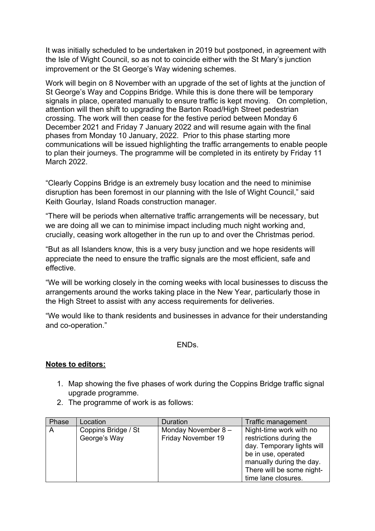It was initially scheduled to be undertaken in 2019 but postponed, in agreement with the Isle of Wight Council, so as not to coincide either with the St Mary's junction improvement or the St George's Way widening schemes.

Work will begin on 8 November with an upgrade of the set of lights at the junction of St George's Way and Coppins Bridge. While this is done there will be temporary signals in place, operated manually to ensure traffic is kept moving. On completion, attention will then shift to upgrading the Barton Road/High Street pedestrian crossing. The work will then cease for the festive period between Monday 6 December 2021 and Friday 7 January 2022 and will resume again with the final phases from Monday 10 January, 2022. Prior to this phase starting more communications will be issued highlighting the traffic arrangements to enable people to plan their journeys. The programme will be completed in its entirety by Friday 11 March 2022.

"Clearly Coppins Bridge is an extremely busy location and the need to minimise disruption has been foremost in our planning with the Isle of Wight Council," said Keith Gourlay, Island Roads construction manager.

"There will be periods when alternative traffic arrangements will be necessary, but we are doing all we can to minimise impact including much night working and, crucially, ceasing work altogether in the run up to and over the Christmas period.

"But as all Islanders know, this is a very busy junction and we hope residents will appreciate the need to ensure the traffic signals are the most efficient, safe and effective.

"We will be working closely in the coming weeks with local businesses to discuss the arrangements around the works taking place in the New Year, particularly those in the High Street to assist with any access requirements for deliveries.

"We would like to thank residents and businesses in advance for their understanding and co-operation."

ENDs.

## **Notes to editors:**

- 1. Map showing the five phases of work during the Coppins Bridge traffic signal upgrade programme.
- 2. The programme of work is as follows:

| Phase | Location                            | Duration                                 | Traffic management                                                                                                                                                                      |
|-------|-------------------------------------|------------------------------------------|-----------------------------------------------------------------------------------------------------------------------------------------------------------------------------------------|
| A     | Coppins Bridge / St<br>George's Way | Monday November 8-<br>Friday November 19 | Night-time work with no<br>restrictions during the<br>day. Temporary lights will<br>be in use, operated<br>manually during the day.<br>There will be some night-<br>time lane closures. |